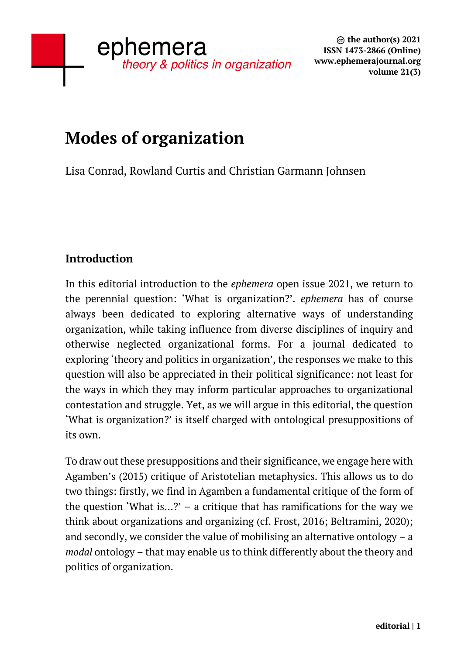# **Modes of organization**

Lisa Conrad, Rowland Curtis and Christian Garmann Johnsen

# **Introduction**

In this editorial introduction to the *ephemera* open issue 2021, we return to the perennial question: 'What is organization?'. *ephemera* has of course always been dedicated to exploring alternative ways of understanding organization, while taking influence from diverse disciplines of inquiry and otherwise neglected organizational forms. For a journal dedicated to exploring 'theory and politics in organization', the responses we make to this question will also be appreciated in their political significance: not least for the ways in which they may inform particular approaches to organizational contestation and struggle. Yet, as we will argue in this editorial, the question 'What is organization?' is itself charged with ontological presuppositions of its own.

To draw out these presuppositions and their significance, we engage here with Agamben's (2015) critique of Aristotelian metaphysics. This allows us to do two things: firstly, we find in Agamben a fundamental critique of the form of the question 'What is...?' – a critique that has ramifications for the way we think about organizations and organizing (cf. Frost, 2016; Beltramini, 2020); and secondly, we consider the value of mobilising an alternative ontology – a *modal* ontology – that may enable us to think differently about the theory and politics of organization.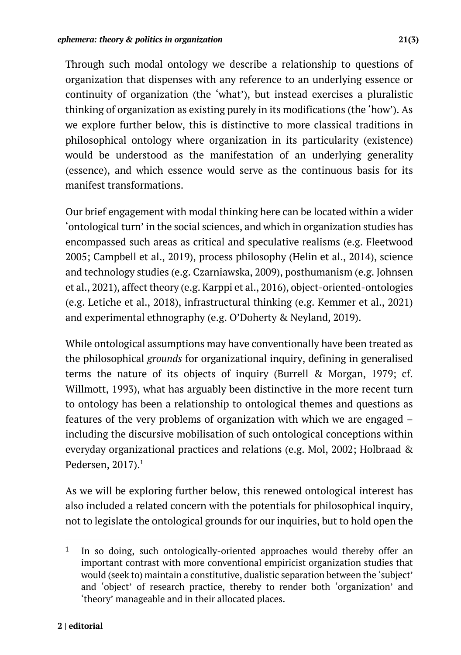Through such modal ontology we describe a relationship to questions of organization that dispenses with any reference to an underlying essence or continuity of organization (the 'what'), but instead exercises a pluralistic thinking of organization as existing purely in its modifications (the 'how'). As we explore further below, this is distinctive to more classical traditions in philosophical ontology where organization in its particularity (existence) would be understood as the manifestation of an underlying generality (essence), and which essence would serve as the continuous basis for its manifest transformations.

Our brief engagement with modal thinking here can be located within a wider 'ontological turn' in the social sciences, and which in organization studies has encompassed such areas as critical and speculative realisms (e.g. Fleetwood 2005; Campbell et al., 2019), process philosophy (Helin et al., 2014), science and technology studies (e.g. Czarniawska, 2009), posthumanism (e.g. Johnsen et al., 2021), affect theory (e.g. Karppi et al., 2016), object-oriented-ontologies (e.g. Letiche et al., 2018), infrastructural thinking (e.g. Kemmer et al., 2021) and experimental ethnography (e.g. O'Doherty & Neyland, 2019).

While ontological assumptions may have conventionally have been treated as the philosophical *grounds* for organizational inquiry, defining in generalised terms the nature of its objects of inquiry (Burrell & Morgan, 1979; cf. Willmott, 1993), what has arguably been distinctive in the more recent turn to ontology has been a relationship to ontological themes and questions as features of the very problems of organization with which we are engaged – including the discursive mobilisation of such ontological conceptions within everyday organizational practices and relations (e.g. Mol, 2002; Holbraad & Pedersen,  $2017$ ).<sup>1</sup>

As we will be exploring further below, this renewed ontological interest has also included a related concern with the potentials for philosophical inquiry, not to legislate the ontological grounds for our inquiries, but to hold open the

<sup>1</sup> In so doing, such ontologically-oriented approaches would thereby offer an important contrast with more conventional empiricist organization studies that would (seek to) maintain a constitutive, dualistic separation between the 'subject' and 'object' of research practice, thereby to render both 'organization' and 'theory' manageable and in their allocated places.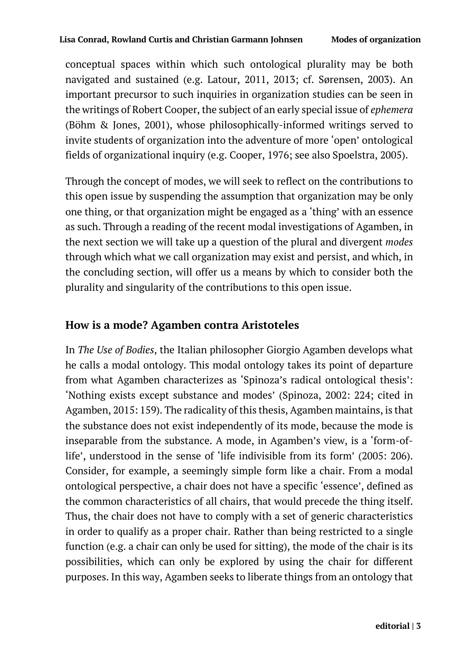conceptual spaces within which such ontological plurality may be both navigated and sustained (e.g. Latour, 2011, 2013; cf. Sørensen, 2003). An important precursor to such inquiries in organization studies can be seen in the writings of Robert Cooper, the subject of an early special issue of *ephemera* (Böhm & Jones, 2001), whose philosophically-informed writings served to invite students of organization into the adventure of more 'open' ontological fields of organizational inquiry (e.g. Cooper, 1976; see also Spoelstra, 2005).

Through the concept of modes, we will seek to reflect on the contributions to this open issue by suspending the assumption that organization may be only one thing, or that organization might be engaged as a 'thing' with an essence as such. Through a reading of the recent modal investigations of Agamben, in the next section we will take up a question of the plural and divergent *modes*  through which what we call organization may exist and persist, and which, in the concluding section, will offer us a means by which to consider both the plurality and singularity of the contributions to this open issue.

#### **How is a mode? Agamben contra Aristoteles**

In *The Use of Bodies*, the Italian philosopher Giorgio Agamben develops what he calls a modal ontology. This modal ontology takes its point of departure from what Agamben characterizes as 'Spinoza's radical ontological thesis': 'Nothing exists except substance and modes' (Spinoza, 2002: 224; cited in Agamben, 2015: 159). The radicality of this thesis, Agamben maintains, is that the substance does not exist independently of its mode, because the mode is inseparable from the substance. A mode, in Agamben's view, is a 'form-oflife', understood in the sense of 'life indivisible from its form' (2005: 206). Consider, for example, a seemingly simple form like a chair. From a modal ontological perspective, a chair does not have a specific 'essence', defined as the common characteristics of all chairs, that would precede the thing itself. Thus, the chair does not have to comply with a set of generic characteristics in order to qualify as a proper chair. Rather than being restricted to a single function (e.g. a chair can only be used for sitting), the mode of the chair is its possibilities, which can only be explored by using the chair for different purposes. In this way, Agamben seeks to liberate things from an ontology that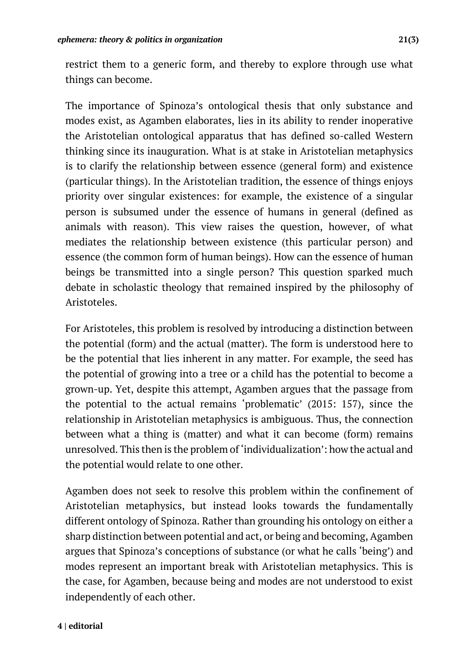restrict them to a generic form, and thereby to explore through use what things can become.

The importance of Spinoza's ontological thesis that only substance and modes exist, as Agamben elaborates, lies in its ability to render inoperative the Aristotelian ontological apparatus that has defined so-called Western thinking since its inauguration. What is at stake in Aristotelian metaphysics is to clarify the relationship between essence (general form) and existence (particular things). In the Aristotelian tradition, the essence of things enjoys priority over singular existences: for example, the existence of a singular person is subsumed under the essence of humans in general (defined as animals with reason). This view raises the question, however, of what mediates the relationship between existence (this particular person) and essence (the common form of human beings). How can the essence of human beings be transmitted into a single person? This question sparked much debate in scholastic theology that remained inspired by the philosophy of Aristoteles.

For Aristoteles, this problem is resolved by introducing a distinction between the potential (form) and the actual (matter). The form is understood here to be the potential that lies inherent in any matter. For example, the seed has the potential of growing into a tree or a child has the potential to become a grown-up. Yet, despite this attempt, Agamben argues that the passage from the potential to the actual remains 'problematic' (2015: 157), since the relationship in Aristotelian metaphysics is ambiguous. Thus, the connection between what a thing is (matter) and what it can become (form) remains unresolved. This then is the problem of 'individualization': how the actual and the potential would relate to one other.

Agamben does not seek to resolve this problem within the confinement of Aristotelian metaphysics, but instead looks towards the fundamentally different ontology of Spinoza. Rather than grounding his ontology on either a sharp distinction between potential and act, or being and becoming, Agamben argues that Spinoza's conceptions of substance (or what he calls 'being') and modes represent an important break with Aristotelian metaphysics. This is the case, for Agamben, because being and modes are not understood to exist independently of each other.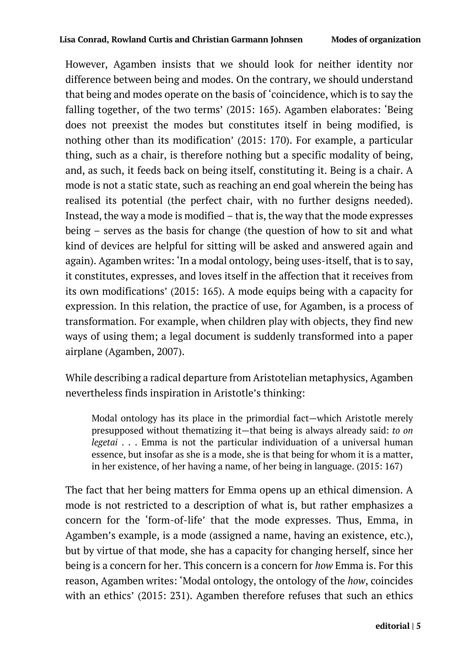However, Agamben insists that we should look for neither identity nor difference between being and modes. On the contrary, we should understand that being and modes operate on the basis of 'coincidence, which is to say the falling together, of the two terms' (2015: 165). Agamben elaborates: 'Being does not preexist the modes but constitutes itself in being modified, is nothing other than its modification' (2015: 170). For example, a particular thing, such as a chair, is therefore nothing but a specific modality of being, and, as such, it feeds back on being itself, constituting it. Being is a chair. A mode is not a static state, such as reaching an end goal wherein the being has realised its potential (the perfect chair, with no further designs needed). Instead, the way a mode is modified – that is, the way that the mode expresses being – serves as the basis for change (the question of how to sit and what kind of devices are helpful for sitting will be asked and answered again and again). Agamben writes: 'In a modal ontology, being uses-itself, that is to say, it constitutes, expresses, and loves itself in the affection that it receives from its own modifications' (2015: 165). A mode equips being with a capacity for expression. In this relation, the practice of use, for Agamben, is a process of transformation. For example, when children play with objects, they find new ways of using them; a legal document is suddenly transformed into a paper airplane (Agamben, 2007).

While describing a radical departure from Aristotelian metaphysics, Agamben nevertheless finds inspiration in Aristotle's thinking:

Modal ontology has its place in the primordial fact—which Aristotle merely presupposed without thematizing it—that being is always already said: *to on legetai* . . . Emma is not the particular individuation of a universal human essence, but insofar as she is a mode, she is that being for whom it is a matter, in her existence, of her having a name, of her being in language. (2015: 167)

The fact that her being matters for Emma opens up an ethical dimension. A mode is not restricted to a description of what is, but rather emphasizes a concern for the 'form-of-life' that the mode expresses. Thus, Emma, in Agamben's example, is a mode (assigned a name, having an existence, etc.), but by virtue of that mode, she has a capacity for changing herself, since her being is a concern for her. This concern is a concern for *how* Emma is. For this reason, Agamben writes: 'Modal ontology, the ontology of the *how*, coincides with an ethics' (2015: 231). Agamben therefore refuses that such an ethics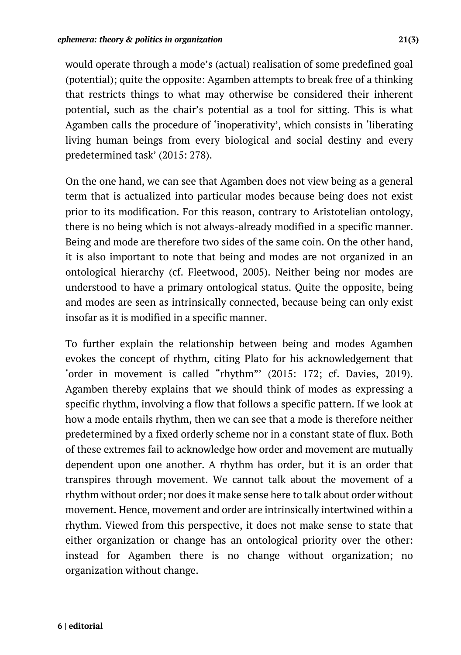would operate through a mode's (actual) realisation of some predefined goal (potential); quite the opposite: Agamben attempts to break free of a thinking that restricts things to what may otherwise be considered their inherent potential, such as the chair's potential as a tool for sitting. This is what Agamben calls the procedure of 'inoperativity', which consists in 'liberating living human beings from every biological and social destiny and every predetermined task' (2015: 278).

On the one hand, we can see that Agamben does not view being as a general term that is actualized into particular modes because being does not exist prior to its modification. For this reason, contrary to Aristotelian ontology, there is no being which is not always-already modified in a specific manner. Being and mode are therefore two sides of the same coin. On the other hand, it is also important to note that being and modes are not organized in an ontological hierarchy (cf. Fleetwood, 2005). Neither being nor modes are understood to have a primary ontological status. Quite the opposite, being and modes are seen as intrinsically connected, because being can only exist insofar as it is modified in a specific manner.

To further explain the relationship between being and modes Agamben evokes the concept of rhythm, citing Plato for his acknowledgement that 'order in movement is called "rhythm"' (2015: 172; cf. Davies, 2019). Agamben thereby explains that we should think of modes as expressing a specific rhythm, involving a flow that follows a specific pattern. If we look at how a mode entails rhythm, then we can see that a mode is therefore neither predetermined by a fixed orderly scheme nor in a constant state of flux. Both of these extremes fail to acknowledge how order and movement are mutually dependent upon one another. A rhythm has order, but it is an order that transpires through movement. We cannot talk about the movement of a rhythm without order; nor does it make sense here to talk about order without movement. Hence, movement and order are intrinsically intertwined within a rhythm. Viewed from this perspective, it does not make sense to state that either organization or change has an ontological priority over the other: instead for Agamben there is no change without organization; no organization without change.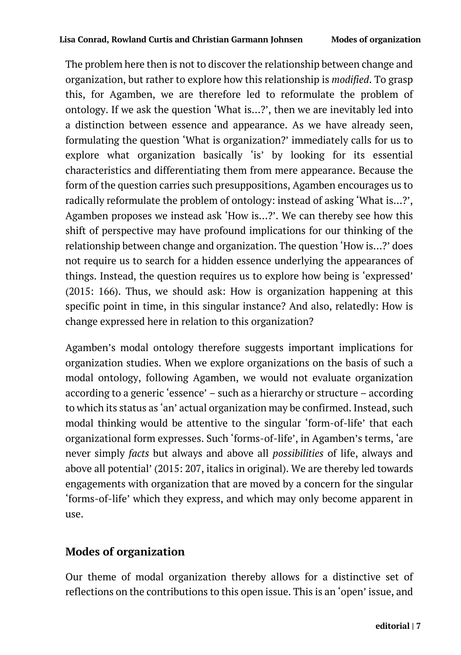The problem here then is not to discover the relationship between change and organization, but rather to explore how this relationship is *modified*. To grasp this, for Agamben, we are therefore led to reformulate the problem of ontology. If we ask the question 'What is…?', then we are inevitably led into a distinction between essence and appearance. As we have already seen, formulating the question 'What is organization?' immediately calls for us to explore what organization basically 'is' by looking for its essential characteristics and differentiating them from mere appearance. Because the form of the question carries such presuppositions, Agamben encourages us to radically reformulate the problem of ontology: instead of asking 'What is…?', Agamben proposes we instead ask 'How is…?'. We can thereby see how this shift of perspective may have profound implications for our thinking of the relationship between change and organization. The question 'How is…?' does not require us to search for a hidden essence underlying the appearances of things. Instead, the question requires us to explore how being is 'expressed' (2015: 166). Thus, we should ask: How is organization happening at this specific point in time, in this singular instance? And also, relatedly: How is change expressed here in relation to this organization?

Agamben's modal ontology therefore suggests important implications for organization studies. When we explore organizations on the basis of such a modal ontology, following Agamben, we would not evaluate organization according to a generic 'essence' – such as a hierarchy or structure – according to which its status as 'an' actual organization may be confirmed. Instead, such modal thinking would be attentive to the singular 'form-of-life' that each organizational form expresses. Such 'forms-of-life', in Agamben's terms, 'are never simply *facts* but always and above all *possibilities* of life, always and above all potential' (2015: 207, italics in original). We are thereby led towards engagements with organization that are moved by a concern for the singular 'forms-of-life' which they express, and which may only become apparent in use.

### **Modes of organization**

Our theme of modal organization thereby allows for a distinctive set of reflections on the contributions to this open issue. This is an 'open' issue, and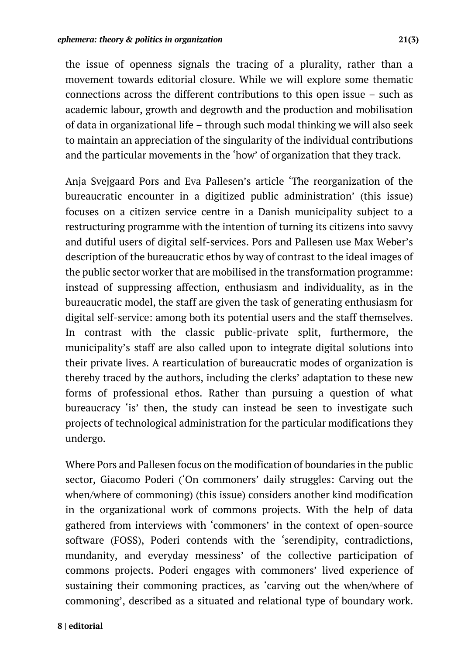the issue of openness signals the tracing of a plurality, rather than a movement towards editorial closure. While we will explore some thematic connections across the different contributions to this open issue – such as academic labour, growth and degrowth and the production and mobilisation of data in organizational life – through such modal thinking we will also seek to maintain an appreciation of the singularity of the individual contributions and the particular movements in the 'how' of organization that they track.

Anja Svejgaard Pors and Eva Pallesen's article 'The reorganization of the bureaucratic encounter in a digitized public administration' (this issue) focuses on a citizen service centre in a Danish municipality subject to a restructuring programme with the intention of turning its citizens into savvy and dutiful users of digital self-services. Pors and Pallesen use Max Weber's description of the bureaucratic ethos by way of contrast to the ideal images of the public sector worker that are mobilised in the transformation programme: instead of suppressing affection, enthusiasm and individuality, as in the bureaucratic model, the staff are given the task of generating enthusiasm for digital self-service: among both its potential users and the staff themselves. In contrast with the classic public-private split, furthermore, the municipality's staff are also called upon to integrate digital solutions into their private lives. A rearticulation of bureaucratic modes of organization is thereby traced by the authors, including the clerks' adaptation to these new forms of professional ethos. Rather than pursuing a question of what bureaucracy 'is' then, the study can instead be seen to investigate such projects of technological administration for the particular modifications they undergo.

Where Pors and Pallesen focus on the modification of boundaries in the public sector, Giacomo Poderi ('On commoners' daily struggles: Carving out the when/where of commoning) (this issue) considers another kind modification in the organizational work of commons projects. With the help of data gathered from interviews with 'commoners' in the context of open-source software (FOSS), Poderi contends with the 'serendipity, contradictions, mundanity, and everyday messiness' of the collective participation of commons projects. Poderi engages with commoners' lived experience of sustaining their commoning practices, as 'carving out the when/where of commoning', described as a situated and relational type of boundary work.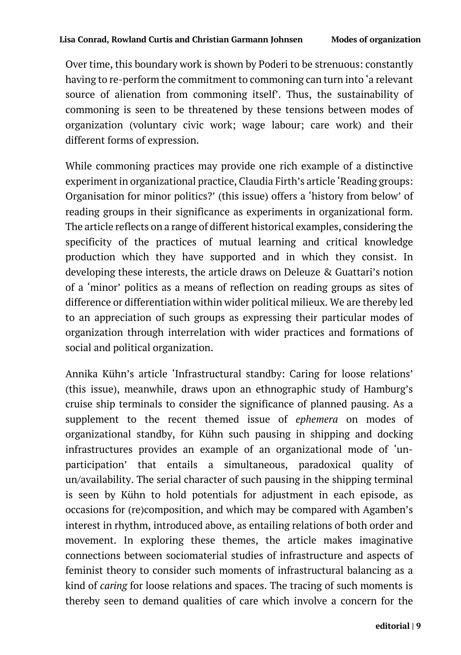Over time, this boundary work is shown by Poderi to be strenuous: constantly having to re-perform the commitment to commoning can turn into 'a relevant source of alienation from commoning itself'. Thus, the sustainability of commoning is seen to be threatened by these tensions between modes of organization (voluntary civic work; wage labour; care work) and their different forms of expression.

While commoning practices may provide one rich example of a distinctive experiment in organizational practice, Claudia Firth's article 'Reading groups: Organisation for minor politics?' (this issue) offers a 'history from below' of reading groups in their significance as experiments in organizational form. The article reflects on a range of different historical examples, considering the specificity of the practices of mutual learning and critical knowledge production which they have supported and in which they consist. In developing these interests, the article draws on Deleuze & Guattari's notion of a 'minor' politics as a means of reflection on reading groups as sites of difference or differentiation within wider political milieux. We are thereby led to an appreciation of such groups as expressing their particular modes of organization through interrelation with wider practices and formations of social and political organization.

Annika Kühn's article 'Infrastructural standby: Caring for loose relations' (this issue), meanwhile, draws upon an ethnographic study of Hamburg's cruise ship terminals to consider the significance of planned pausing. As a supplement to the recent themed issue of *ephemera* on modes of organizational standby, for Kühn such pausing in shipping and docking infrastructures provides an example of an organizational mode of 'unparticipation' that entails a simultaneous, paradoxical quality of un/availability. The serial character of such pausing in the shipping terminal is seen by Kühn to hold potentials for adjustment in each episode, as occasions for (re)composition, and which may be compared with Agamben's interest in rhythm, introduced above, as entailing relations of both order and movement. In exploring these themes, the article makes imaginative connections between sociomaterial studies of infrastructure and aspects of feminist theory to consider such moments of infrastructural balancing as a kind of *caring* for loose relations and spaces. The tracing of such moments is thereby seen to demand qualities of care which involve a concern for the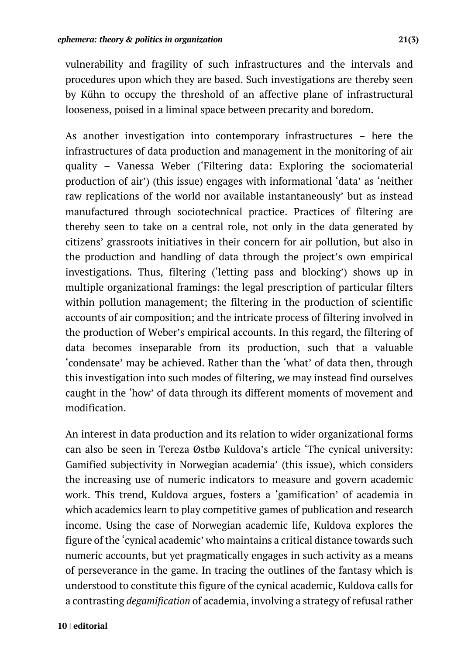vulnerability and fragility of such infrastructures and the intervals and procedures upon which they are based. Such investigations are thereby seen by Kühn to occupy the threshold of an affective plane of infrastructural looseness, poised in a liminal space between precarity and boredom.

As another investigation into contemporary infrastructures – here the infrastructures of data production and management in the monitoring of air quality – Vanessa Weber ('Filtering data: Exploring the sociomaterial production of air') (this issue) engages with informational 'data' as 'neither raw replications of the world nor available instantaneously' but as instead manufactured through sociotechnical practice. Practices of filtering are thereby seen to take on a central role, not only in the data generated by citizens' grassroots initiatives in their concern for air pollution, but also in the production and handling of data through the project's own empirical investigations. Thus, filtering ('letting pass and blocking') shows up in multiple organizational framings: the legal prescription of particular filters within pollution management; the filtering in the production of scientific accounts of air composition; and the intricate process of filtering involved in the production of Weber's empirical accounts. In this regard, the filtering of data becomes inseparable from its production, such that a valuable 'condensate' may be achieved. Rather than the 'what' of data then, through this investigation into such modes of filtering, we may instead find ourselves caught in the 'how' of data through its different moments of movement and modification.

An interest in data production and its relation to wider organizational forms can also be seen in Tereza Østbø Kuldova's article 'The cynical university: Gamified subjectivity in Norwegian academia' (this issue), which considers the increasing use of numeric indicators to measure and govern academic work. This trend, Kuldova argues, fosters a 'gamification' of academia in which academics learn to play competitive games of publication and research income. Using the case of Norwegian academic life, Kuldova explores the figure of the 'cynical academic' who maintains a critical distance towards such numeric accounts, but yet pragmatically engages in such activity as a means of perseverance in the game. In tracing the outlines of the fantasy which is understood to constitute this figure of the cynical academic, Kuldova calls for a contrasting *degamification* of academia, involving a strategy of refusal rather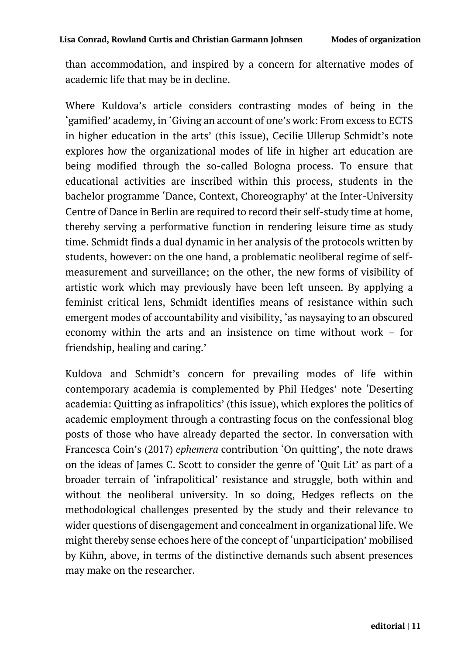than accommodation, and inspired by a concern for alternative modes of academic life that may be in decline.

Where Kuldova's article considers contrasting modes of being in the 'gamified' academy, in 'Giving an account of one's work: From excess to ECTS in higher education in the arts' (this issue), Cecilie Ullerup Schmidt's note explores how the organizational modes of life in higher art education are being modified through the so-called Bologna process. To ensure that educational activities are inscribed within this process, students in the bachelor programme 'Dance, Context, Choreography' at the Inter-University Centre of Dance in Berlin are required to record their self-study time at home, thereby serving a performative function in rendering leisure time as study time. Schmidt finds a dual dynamic in her analysis of the protocols written by students, however: on the one hand, a problematic neoliberal regime of selfmeasurement and surveillance; on the other, the new forms of visibility of artistic work which may previously have been left unseen. By applying a feminist critical lens, Schmidt identifies means of resistance within such emergent modes of accountability and visibility, 'as naysaying to an obscured economy within the arts and an insistence on time without work – for friendship, healing and caring.'

Kuldova and Schmidt's concern for prevailing modes of life within contemporary academia is complemented by Phil Hedges' note 'Deserting academia: Quitting as infrapolitics' (this issue), which explores the politics of academic employment through a contrasting focus on the confessional blog posts of those who have already departed the sector. In conversation with Francesca Coin's (2017) *ephemera* contribution 'On quitting', the note draws on the ideas of James C. Scott to consider the genre of 'Quit Lit' as part of a broader terrain of 'infrapolitical' resistance and struggle, both within and without the neoliberal university. In so doing, Hedges reflects on the methodological challenges presented by the study and their relevance to wider questions of disengagement and concealment in organizational life. We might thereby sense echoes here of the concept of 'unparticipation' mobilised by Kühn, above, in terms of the distinctive demands such absent presences may make on the researcher.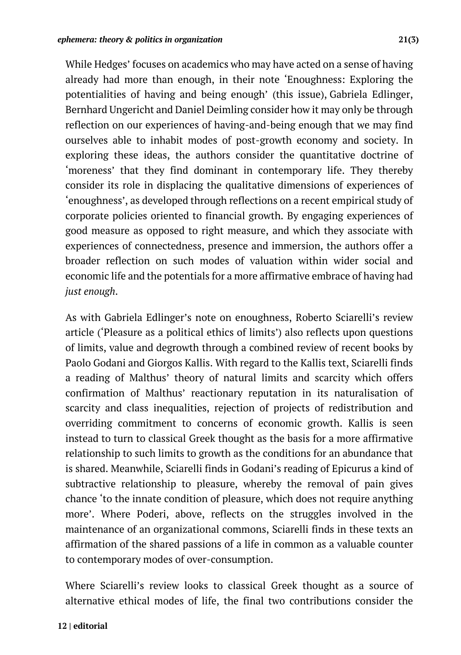While Hedges' focuses on academics who may have acted on a sense of having already had more than enough, in their note 'Enoughness: Exploring the potentialities of having and being enough' (this issue), Gabriela Edlinger, Bernhard Ungericht and Daniel Deimling consider how it may only be through reflection on our experiences of having-and-being enough that we may find ourselves able to inhabit modes of post-growth economy and society. In exploring these ideas, the authors consider the quantitative doctrine of 'moreness' that they find dominant in contemporary life. They thereby consider its role in displacing the qualitative dimensions of experiences of 'enoughness', as developed through reflections on a recent empirical study of corporate policies oriented to financial growth. By engaging experiences of good measure as opposed to right measure, and which they associate with experiences of connectedness, presence and immersion, the authors offer a broader reflection on such modes of valuation within wider social and economic life and the potentials for a more affirmative embrace of having had *just enough*.

As with Gabriela Edlinger's note on enoughness, Roberto Sciarelli's review article ('Pleasure as a political ethics of limits') also reflects upon questions of limits, value and degrowth through a combined review of recent books by Paolo Godani and Giorgos Kallis. With regard to the Kallis text, Sciarelli finds a reading of Malthus' theory of natural limits and scarcity which offers confirmation of Malthus' reactionary reputation in its naturalisation of scarcity and class inequalities, rejection of projects of redistribution and overriding commitment to concerns of economic growth. Kallis is seen instead to turn to classical Greek thought as the basis for a more affirmative relationship to such limits to growth as the conditions for an abundance that is shared. Meanwhile, Sciarelli finds in Godani's reading of Epicurus a kind of subtractive relationship to pleasure, whereby the removal of pain gives chance 'to the innate condition of pleasure, which does not require anything more'. Where Poderi, above, reflects on the struggles involved in the maintenance of an organizational commons, Sciarelli finds in these texts an affirmation of the shared passions of a life in common as a valuable counter to contemporary modes of over-consumption.

Where Sciarelli's review looks to classical Greek thought as a source of alternative ethical modes of life, the final two contributions consider the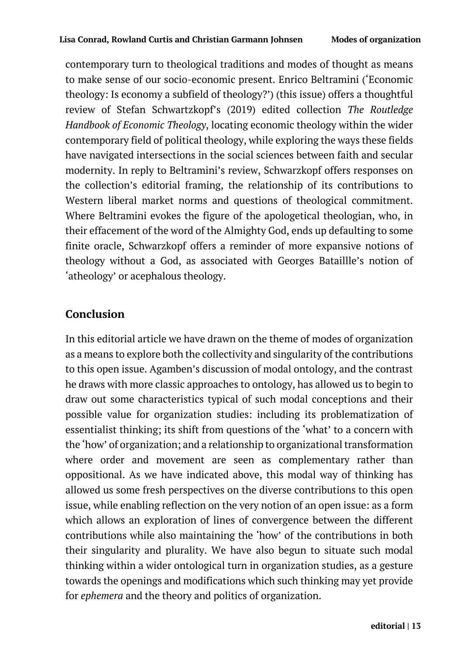contemporary turn to theological traditions and modes of thought as means to make sense of our socio-economic present. Enrico Beltramini ('Economic theology: Is economy a subfield of theology?') (this issue) offers a thoughtful review of Stefan Schwartzkopf's (2019) edited collection *The Routledge Handbook of Economic Theology*, locating economic theology within the wider contemporary field of political theology, while exploring the ways these fields have navigated intersections in the social sciences between faith and secular modernity. In reply to Beltramini's review, Schwarzkopf offers responses on the collection's editorial framing, the relationship of its contributions to Western liberal market norms and questions of theological commitment. Where Beltramini evokes the figure of the apologetical theologian, who, in their effacement of the word of the Almighty God, ends up defaulting to some finite oracle, Schwarzkopf offers a reminder of more expansive notions of theology without a God, as associated with Georges Bataillle's notion of 'atheology' or acephalous theology.

## **Conclusion**

In this editorial article we have drawn on the theme of modes of organization as a means to explore both the collectivity and singularity of the contributions to this open issue. Agamben's discussion of modal ontology, and the contrast he draws with more classic approaches to ontology, has allowed us to begin to draw out some characteristics typical of such modal conceptions and their possible value for organization studies: including its problematization of essentialist thinking; its shift from questions of the 'what' to a concern with the 'how' of organization; and a relationship to organizational transformation where order and movement are seen as complementary rather than oppositional. As we have indicated above, this modal way of thinking has allowed us some fresh perspectives on the diverse contributions to this open issue, while enabling reflection on the very notion of an open issue: as a form which allows an exploration of lines of convergence between the different contributions while also maintaining the 'how' of the contributions in both their singularity and plurality. We have also begun to situate such modal thinking within a wider ontological turn in organization studies, as a gesture towards the openings and modifications which such thinking may yet provide for *ephemera* and the theory and politics of organization.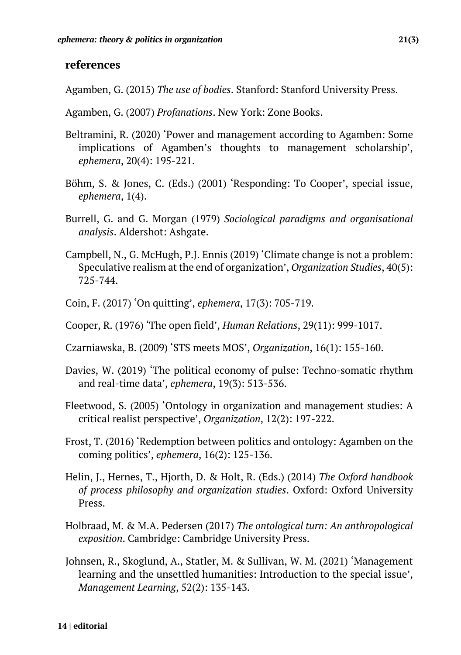#### **references**

Agamben, G. (2015) *The use of bodies*. Stanford: Stanford University Press.

- Agamben, G. (2007) *Profanations*. New York: Zone Books.
- Beltramini, R. (2020) 'Power and management according to Agamben: Some implications of Agamben's thoughts to management scholarship', *ephemera*, 20(4): 195-221.
- Böhm, S. & Jones, C. (Eds.) (2001) 'Responding: To Cooper', special issue, *ephemera*, 1(4).
- Burrell, G. and G. Morgan (1979) *Sociological paradigms and organisational analysis*. Aldershot: Ashgate.
- Campbell, N., G. McHugh, P.J. Ennis (2019) 'Climate change is not a problem: Speculative realism at the end of organization', *Organization Studies*, 40(5): 725-744.
- Coin, F. (2017) 'On quitting', *ephemera*, 17(3): 705-719.
- Cooper, R. (1976) 'The open field', *Human Relations*, 29(11): 999-1017.
- Czarniawska, B. (2009) 'STS meets MOS', *Organization*, 16(1): 155-160.
- Davies, W. (2019) 'The political economy of pulse: Techno-somatic rhythm and real-time data', *ephemera*, 19(3): 513-536.
- Fleetwood, S. (2005) 'Ontology in organization and management studies: A critical realist perspective', *Organization*, 12(2): 197-222.
- Frost, T. (2016) 'Redemption between politics and ontology: Agamben on the coming politics', *ephemera*, 16(2): 125-136.
- Helin, J., Hernes, T., Hjorth, D. & Holt, R. (Eds.) (2014) *The Oxford handbook of process philosophy and organization studies*. Oxford: Oxford University Press.
- Holbraad, M. & M.A. Pedersen (2017) *The ontological turn: An anthropological exposition*. Cambridge: Cambridge University Press.
- Johnsen, R., Skoglund, A., Statler, M. & Sullivan, W. M. (2021) 'Management learning and the unsettled humanities: Introduction to the special issue', *Management Learning*, 52(2): 135-143.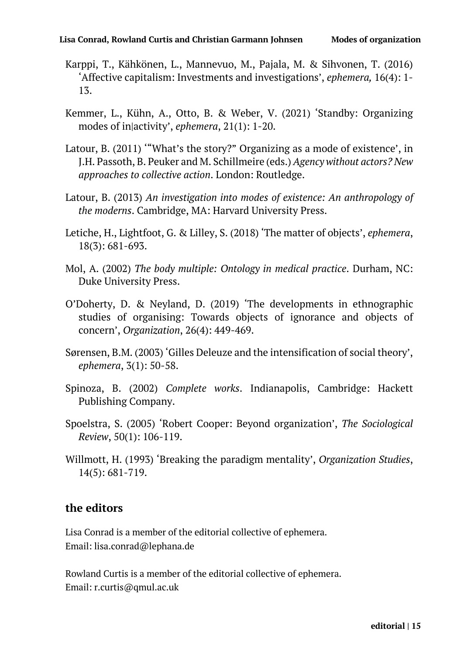- Karppi, T., Kähkönen, L., Mannevuo, M., Pajala, M. & Sihvonen, T. (2016) 'Affective capitalism: Investments and investigations', *ephemera,* 16(4): 1- 13.
- Kemmer, L., Kühn, A., Otto, B. & Weber, V. (2021) 'Standby: Organizing modes of in|activity', *ephemera*, 21(1): 1-20.
- Latour, B. (2011) '"What's the story?" Organizing as a mode of existence', in J.H. Passoth, B. Peuker and M. Schillmeire (eds.) *Agency without actors? New approaches to collective action*. London: Routledge.
- Latour, B. (2013) *An investigation into modes of existence: An anthropology of the moderns*. Cambridge, MA: Harvard University Press.
- Letiche, H., Lightfoot, G. & Lilley, S. (2018) 'The matter of objects', *ephemera*, 18(3): 681-693.
- Mol, A. (2002) *The body multiple: Ontology in medical practice*. Durham, NC: Duke University Press.
- O'Doherty, D. & Neyland, D. (2019) 'The developments in ethnographic studies of organising: Towards objects of ignorance and objects of concern', *Organization*, 26(4): 449-469.
- Sørensen, B.M. (2003) 'Gilles Deleuze and the intensification of social theory', *ephemera*, 3(1): 50-58.
- Spinoza, B. (2002) *Complete works*. Indianapolis, Cambridge: Hackett Publishing Company.
- Spoelstra, S. (2005) 'Robert Cooper: Beyond organization', *The Sociological Review*, 50(1): 106-119.
- Willmott, H. (1993) 'Breaking the paradigm mentality', *Organization Studies*, 14(5): 681-719.

#### **the editors**

Lisa Conrad is a member of the editorial collective of ephemera. Email: lisa.conrad@lephana.de

Rowland Curtis is a member of the editorial collective of ephemera. Email: r.curtis@qmul.ac.uk